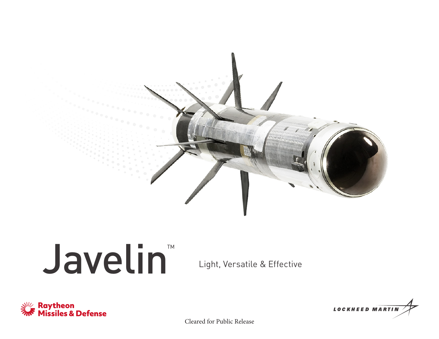

## Javelin Light, Versatile & Effective TM





Cleared for Public Release